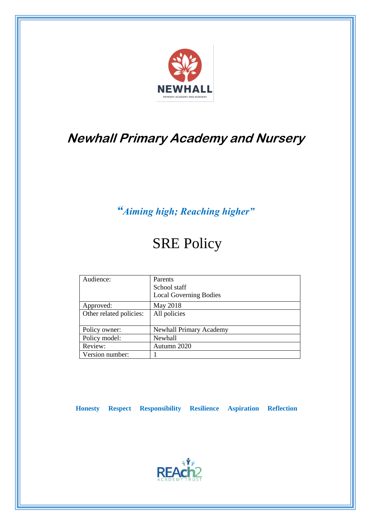

# **Newhall Primary Academy and Nursery**

## *"Aiming high; Reaching higher"*

# SRE Policy

| Audience:               | Parents<br>School staff<br><b>Local Governing Bodies</b> |
|-------------------------|----------------------------------------------------------|
| Approved:               | May 2018                                                 |
| Other related policies: | All policies                                             |
| Policy owner:           | <b>Newhall Primary Academy</b>                           |
| Policy model:           | <b>Newhall</b>                                           |
| Review:                 | Autumn 2020                                              |
| Version number:         |                                                          |

 **Honesty Respect Responsibility Resilience Aspiration Reflection**

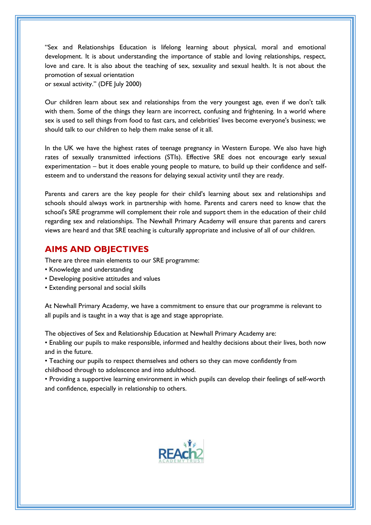"Sex and Relationships Education is lifelong learning about physical, moral and emotional development. It is about understanding the importance of stable and loving relationships, respect, love and care. It is also about the teaching of sex, sexuality and sexual health. It is not about the promotion of sexual orientation

or sexual activity." (DFE July 2000)

Our children learn about sex and relationships from the very youngest age, even if we don't talk with them. Some of the things they learn are incorrect, confusing and frightening. In a world where sex is used to sell things from food to fast cars, and celebrities' lives become everyone's business; we should talk to our children to help them make sense of it all.

In the UK we have the highest rates of teenage pregnancy in Western Europe. We also have high rates of sexually transmitted infections (STIs). Effective SRE does not encourage early sexual experimentation – but it does enable young people to mature, to build up their confidence and selfesteem and to understand the reasons for delaying sexual activity until they are ready.

Parents and carers are the key people for their child's learning about sex and relationships and schools should always work in partnership with home. Parents and carers need to know that the school's SRE programme will complement their role and support them in the education of their child regarding sex and relationships. The Newhall Primary Academy will ensure that parents and carers views are heard and that SRE teaching is culturally appropriate and inclusive of all of our children.

## **AIMS AND OBJECTIVES**

There are three main elements to our SRE programme:

- Knowledge and understanding
- Developing positive attitudes and values
- Extending personal and social skills

At Newhall Primary Academy, we have a commitment to ensure that our programme is relevant to all pupils and is taught in a way that is age and stage appropriate.

The objectives of Sex and Relationship Education at Newhall Primary Academy are:

• Enabling our pupils to make responsible, informed and healthy decisions about their lives, both now and in the future.

• Teaching our pupils to respect themselves and others so they can move confidently from childhood through to adolescence and into adulthood.

• Providing a supportive learning environment in which pupils can develop their feelings of self-worth and confidence, especially in relationship to others.

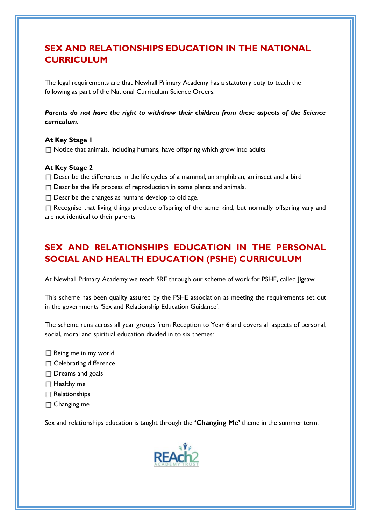## **SEX AND RELATIONSHIPS EDUCATION IN THE NATIONAL CURRICULUM**

The legal requirements are that Newhall Primary Academy has a statutory duty to teach the following as part of the National Curriculum Science Orders.

#### *Parents do not have the right to withdraw their children from these aspects of the Science curriculum.*

#### **At Key Stage 1**

 $\Box$  Notice that animals, including humans, have offspring which grow into adults

#### **At Key Stage 2**

- $\Box$  Describe the differences in the life cycles of a mammal, an amphibian, an insect and a bird
- $\Box$  Describe the life process of reproduction in some plants and animals.
- $\Box$  Describe the changes as humans develop to old age.

 $\Box$  Recognise that living things produce offspring of the same kind, but normally offspring vary and are not identical to their parents

## **SEX AND RELATIONSHIPS EDUCATION IN THE PERSONAL SOCIAL AND HEALTH EDUCATION (PSHE) CURRICULUM**

At Newhall Primary Academy we teach SRE through our scheme of work for PSHE, called Jigsaw.

This scheme has been quality assured by the PSHE association as meeting the requirements set out in the governments 'Sex and Relationship Education Guidance'.

The scheme runs across all year groups from Reception to Year 6 and covers all aspects of personal, social, moral and spiritual education divided in to six themes:

- $\Box$  Being me in my world
- $\Box$  Celebrating difference
- $\Box$  Dreams and goals
- $\Box$  Healthy me
- $\Box$  Relationships
- $\Box$  Changing me

Sex and relationships education is taught through the **'Changing Me'** theme in the summer term.

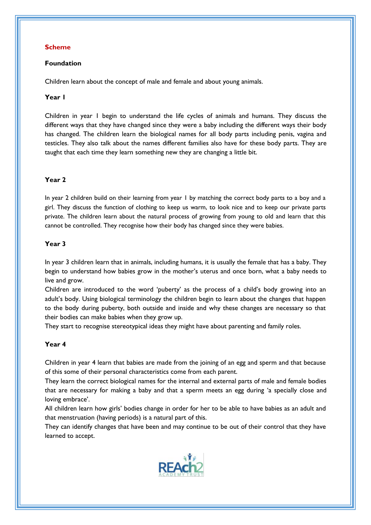#### **Scheme**

#### **Foundation**

Children learn about the concept of male and female and about young animals.

#### **Year 1**

Children in year 1 begin to understand the life cycles of animals and humans. They discuss the different ways that they have changed since they were a baby including the different ways their body has changed. The children learn the biological names for all body parts including penis, vagina and testicles. They also talk about the names different families also have for these body parts. They are taught that each time they learn something new they are changing a little bit.

#### **Year 2**

In year 2 children build on their learning from year 1 by matching the correct body parts to a boy and a girl. They discuss the function of clothing to keep us warm, to look nice and to keep our private parts private. The children learn about the natural process of growing from young to old and learn that this cannot be controlled. They recognise how their body has changed since they were babies.

#### **Year 3**

In year 3 children learn that in animals, including humans, it is usually the female that has a baby. They begin to understand how babies grow in the mother's uterus and once born, what a baby needs to live and grow.

Children are introduced to the word 'puberty' as the process of a child's body growing into an adult's body. Using biological terminology the children begin to learn about the changes that happen to the body during puberty, both outside and inside and why these changes are necessary so that their bodies can make babies when they grow up.

They start to recognise stereotypical ideas they might have about parenting and family roles.

#### **Year 4**

Children in year 4 learn that babies are made from the joining of an egg and sperm and that because of this some of their personal characteristics come from each parent.

They learn the correct biological names for the internal and external parts of male and female bodies that are necessary for making a baby and that a sperm meets an egg during 'a specially close and loving embrace'.

All children learn how girls' bodies change in order for her to be able to have babies as an adult and that menstruation (having periods) is a natural part of this.

They can identify changes that have been and may continue to be out of their control that they have learned to accept.

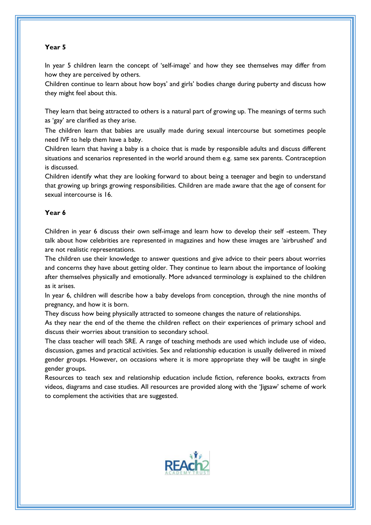#### **Year 5**

In year 5 children learn the concept of 'self-image' and how they see themselves may differ from how they are perceived by others.

Children continue to learn about how boys' and girls' bodies change during puberty and discuss how they might feel about this.

They learn that being attracted to others is a natural part of growing up. The meanings of terms such as 'gay' are clarified as they arise.

The children learn that babies are usually made during sexual intercourse but sometimes people need IVF to help them have a baby.

Children learn that having a baby is a choice that is made by responsible adults and discuss different situations and scenarios represented in the world around them e.g. same sex parents. Contraception is discussed.

Children identify what they are looking forward to about being a teenager and begin to understand that growing up brings growing responsibilities. Children are made aware that the age of consent for sexual intercourse is 16.

#### **Year 6**

Children in year 6 discuss their own self-image and learn how to develop their self -esteem. They talk about how celebrities are represented in magazines and how these images are 'airbrushed' and are not realistic representations.

The children use their knowledge to answer questions and give advice to their peers about worries and concerns they have about getting older. They continue to learn about the importance of looking after themselves physically and emotionally. More advanced terminology is explained to the children as it arises.

In year 6, children will describe how a baby develops from conception, through the nine months of pregnancy, and how it is born.

They discuss how being physically attracted to someone changes the nature of relationships.

As they near the end of the theme the children reflect on their experiences of primary school and discuss their worries about transition to secondary school.

The class teacher will teach SRE. A range of teaching methods are used which include use of video, discussion, games and practical activities. Sex and relationship education is usually delivered in mixed gender groups. However, on occasions where it is more appropriate they will be taught in single gender groups.

Resources to teach sex and relationship education include fiction, reference books, extracts from videos, diagrams and case studies. All resources are provided along with the 'Jigsaw' scheme of work to complement the activities that are suggested.

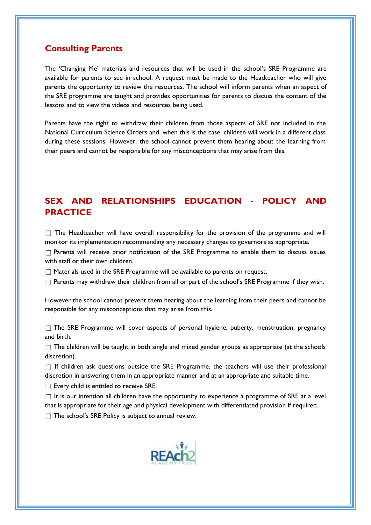## **Consulting Parents**

The 'Changing Me' materials and resources that will be used in the school's SRE Programme are available for parents to see in school. A request must be made to the Headteacher who will give parents the opportunity to review the resources. The school will inform parents when an aspect of the SRE programme are taught and provides opportunities for parents to discuss the content of the lessons and to view the videos and resources being used.

Parents have the right to withdraw their children from those aspects of SRE not included in the National Curriculum Science Orders and, when this is the case, children will work in a different class during these sessions. However, the school cannot prevent them hearing about the learning from their peers and cannot be responsible for any misconceptions that may arise from this.

## **SEX AND RELATIONSHIPS EDUCATION - POLICY AND PRACTICE**

 $\Box$  The Headteacher will have overall responsibility for the provision of the programme and will monitor its implementation recommending any necessary changes to governors as appropriate.

 $\Box$  Parents will receive prior notification of the SRE Programme to enable them to discuss issues with staff or their own children.

 $\Box$  Materials used in the SRE Programme will be available to parents on request.

 $\Box$  Parents may withdraw their children from all or part of the school's SRE Programme if they wish.

However the school cannot prevent them hearing about the learning from their peers and cannot be responsible for any misconceptions that may arise from this.

 $\Box$  The SRE Programme will cover aspects of personal hygiene, puberty, menstruation, pregnancy and birth.

 $\Box$  The children will be taught in both single and mixed gender groups as appropriate (at the schools discretion).

 $\Box$  If children ask questions outside the SRE Programme, the teachers will use their professional discretion in answering them in an appropriate manner and at an appropriate and suitable time.

 $\square$  Every child is entitled to receive SRE.

 $\Box$  It is our intention all children have the opportunity to experience a programme of SRE at a level that is appropriate for their age and physical development with differentiated provision if required.

 $\Box$  The school's SRE Policy is subject to annual review.